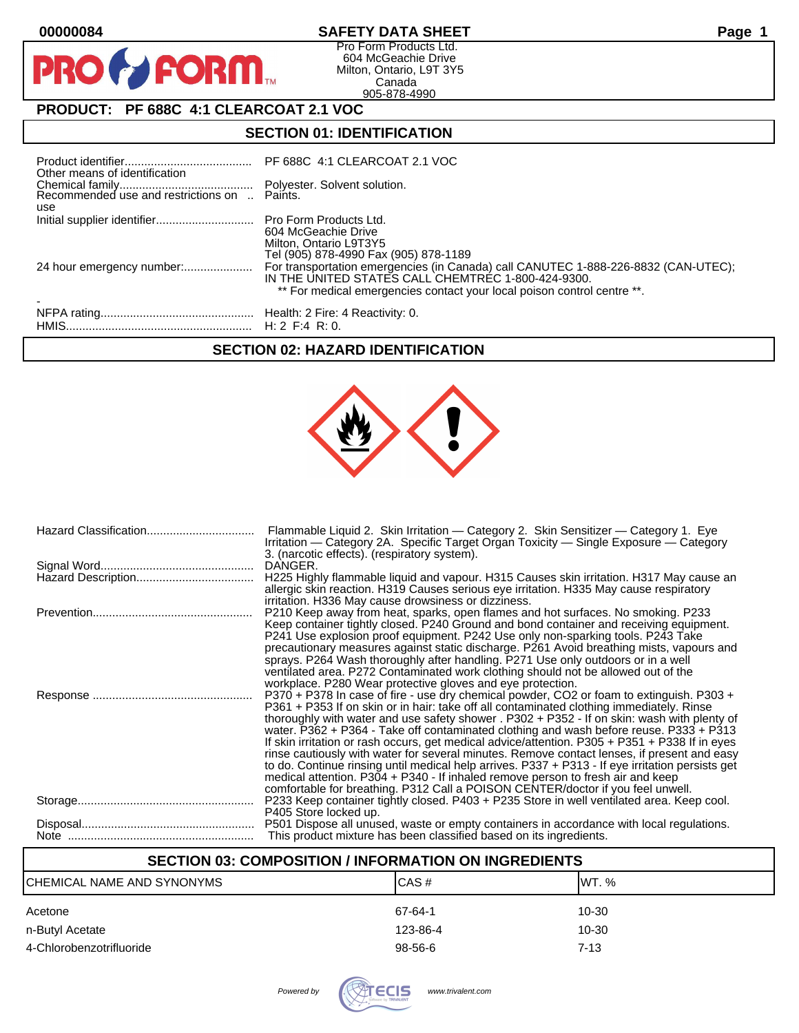$\mathbf O$ 

PR

## **00000084 SAFETY DATA SHEET Page 1**

Pro Form Products Ltd. 604 McGeachie Drive Milton, Ontario, L9T 3Y5 Canada 905-878-4990

# **PRODUCT: PF 688C 4:1 CLEARCOAT 2.1 VOC**

**FORM** 

## **SECTION 01: IDENTIFICATION**

| Other means of identification |                                                                                                                               |  |  |  |
|-------------------------------|-------------------------------------------------------------------------------------------------------------------------------|--|--|--|
| use                           |                                                                                                                               |  |  |  |
|                               | 604 McGeachie Drive<br>Milton, Ontario L9T3Y5<br>Tel (905) 878-4990 Fax (905) 878-1189                                        |  |  |  |
|                               | IN THE UNITED STATES CALL CHEMTREC 1-800-424-9300.<br>** For medical emergencies contact your local poison control centre **. |  |  |  |
|                               |                                                                                                                               |  |  |  |

## **SECTION 02: HAZARD IDENTIFICATION**



| Flammable Liquid 2. Skin Irritation — Category 2. Skin Sensitizer — Category 1. Eye<br>Irritation — Category 2A. Specific Target Organ Toxicity — Single Exposure — Category<br>3. (narcotic effects). (respiratory system).                                                                                                                                                                                                                                                                                                                                                                                                                                                                                                                                                                                                                             |
|----------------------------------------------------------------------------------------------------------------------------------------------------------------------------------------------------------------------------------------------------------------------------------------------------------------------------------------------------------------------------------------------------------------------------------------------------------------------------------------------------------------------------------------------------------------------------------------------------------------------------------------------------------------------------------------------------------------------------------------------------------------------------------------------------------------------------------------------------------|
| DANGER.<br>H225 Highly flammable liquid and vapour. H315 Causes skin irritation. H317 May cause an<br>allergic skin reaction. H319 Causes serious eye irritation. H335 May cause respiratory                                                                                                                                                                                                                                                                                                                                                                                                                                                                                                                                                                                                                                                             |
| irritation. H336 May cause drowsiness or dizziness.<br>P210 Keep away from heat, sparks, open flames and hot surfaces. No smoking. P233<br>Keep container tightly closed. P240 Ground and bond container and receiving equipment.<br>P241 Use explosion proof equipment. P242 Use only non-sparking tools. P243 Take<br>precautionary measures against static discharge. P261 Avoid breathing mists, vapours and<br>sprays. P264 Wash thoroughly after handling. P271 Use only outdoors or in a well<br>ventilated area. P272 Contaminated work clothing should not be allowed out of the<br>workplace. P280 Wear protective gloves and eye protection.                                                                                                                                                                                                  |
| P370 + P378 In case of fire - use dry chemical powder, CO2 or foam to extinguish. P303 +<br>P361 + P353 If on skin or in hair: take off all contaminated clothing immediately. Rinse<br>thoroughly with water and use safety shower . P302 + P352 - If on skin: wash with plenty of<br>water. P362 + P364 - Take off contaminated clothing and wash before reuse. P333 + P313<br>If skin irritation or rash occurs, get medical advice/attention. P305 + P351 + P338 If in eyes<br>rinse cautiously with water for several minutes. Remove contact lenses, if present and easy<br>to do. Continue rinsing until medical help arrives. P337 + P313 - If eye irritation persists get<br>medical attention. P304 + P340 - If inhaled remove person to fresh air and keep<br>comfortable for breathing. P312 Call a POISON CENTER/doctor if you feel unwell. |
| P233 Keep container tightly closed. P403 + P235 Store in well ventilated area. Keep cool.<br>P405 Store locked up.                                                                                                                                                                                                                                                                                                                                                                                                                                                                                                                                                                                                                                                                                                                                       |
| P501 Dispose all unused, waste or empty containers in accordance with local regulations.<br>This product mixture has been classified based on its ingredients.                                                                                                                                                                                                                                                                                                                                                                                                                                                                                                                                                                                                                                                                                           |

## **SECTION 03: COMPOSITION / INFORMATION ON INGREDIENTS**

| CHEMICAL NAME AND SYNONYMS | CAS#     | IWT. %    |
|----------------------------|----------|-----------|
| Acetone                    | 67-64-1  | 10-30     |
| n-Butyl Acetate            | 123-86-4 | $10 - 30$ |
| 4-Chlorobenzotrifluoride   | 98-56-6  | 7-13      |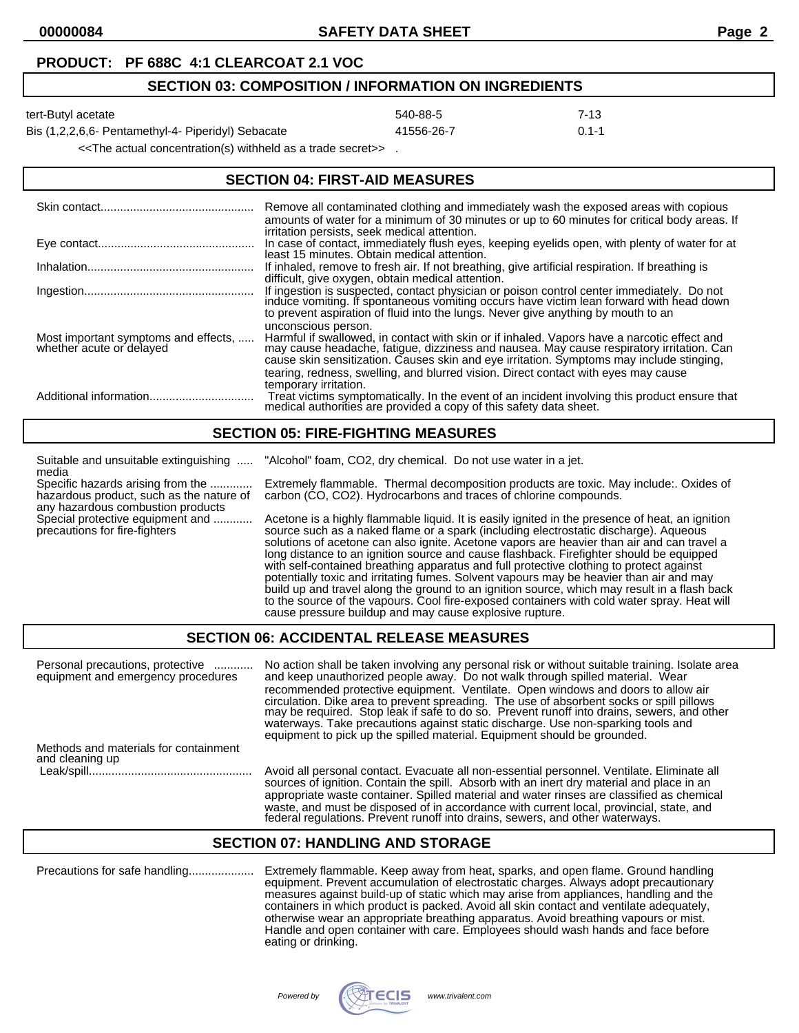#### **00000084 SAFETY DATA SHEET Page 2**

## **PRODUCT: PF 688C 4:1 CLEARCOAT 2.1 VOC**

## **SECTION 03: COMPOSITION / INFORMATION ON INGREDIENTS**

tert-Butyl acetate 540-88-5 7-13

Bis (1,2,2,6,6- Pentamethyl-4- Piperidyl) Sebacate 41556-26-7 0.1-1

<<The actual concentration(s) withheld as a trade secret>> .

## **SECTION 04: FIRST-AID MEASURES**

|                                                                  | Remove all contaminated clothing and immediately wash the exposed areas with copious<br>amounts of water for a minimum of 30 minutes or up to 60 minutes for critical body areas. If<br>irritation persists, seek medical attention.                                                                                                                                                             |
|------------------------------------------------------------------|--------------------------------------------------------------------------------------------------------------------------------------------------------------------------------------------------------------------------------------------------------------------------------------------------------------------------------------------------------------------------------------------------|
|                                                                  | In case of contact, immediately flush eyes, keeping eyelids open, with plenty of water for at<br>least 15 minutes. Obtain medical attention.                                                                                                                                                                                                                                                     |
|                                                                  | If inhaled, remove to fresh air. If not breathing, give artificial respiration. If breathing is<br>difficult, give oxygen, obtain medical attention.                                                                                                                                                                                                                                             |
|                                                                  | If ingestion is suspected, contact physician or poison control center immediately. Do not induce vomiting. If spontaneous vomiting occurs have victim lean forward with head down<br>to prevent aspiration of fluid into the lungs. Never give anything by mouth to an                                                                                                                           |
| Most important symptoms and effects,<br>whether acute or delayed | unconscious person.<br>Harmful if swallowed, in contact with skin or if inhaled. Vapors have a narcotic effect and<br>may cause headache, fatigue, dizziness and nausea. May cause respiratory irritation. Can<br>cause skin sensitization. Causes skin and eye irritation. Symptoms may include stinging,<br>tearing, redness, swelling, and blurred vision. Direct contact with eyes may cause |
|                                                                  | temporary irritation.<br>Treat victims symptomatically. In the event of an incident involving this product ensure that medical authorities are provided a copy of this safety data sheet.                                                                                                                                                                                                        |

## **SECTION 05: FIRE-FIGHTING MEASURES**

| Suitable and unsuitable extinguishing<br>media                                                                     | "Alcohol" foam, CO2, dry chemical. Do not use water in a jet.                                                                                                                                                                                                                                                                                                                                                                                                                                                                                                                                                                                                                                                                                                                                                                    |
|--------------------------------------------------------------------------------------------------------------------|----------------------------------------------------------------------------------------------------------------------------------------------------------------------------------------------------------------------------------------------------------------------------------------------------------------------------------------------------------------------------------------------------------------------------------------------------------------------------------------------------------------------------------------------------------------------------------------------------------------------------------------------------------------------------------------------------------------------------------------------------------------------------------------------------------------------------------|
| Specific hazards arising from the<br>hazardous product, such as the nature of<br>any hazardous combustion products | Extremely flammable. Thermal decomposition products are toxic. May include: Oxides of<br>carbon (CO, CO2). Hydrocarbons and traces of chlorine compounds.                                                                                                                                                                                                                                                                                                                                                                                                                                                                                                                                                                                                                                                                        |
| Special protective equipment and<br>precautions for fire-fighters                                                  | Acetone is a highly flammable liquid. It is easily ignited in the presence of heat, an ignition<br>source such as a naked flame or a spark (including electrostatic discharge). Aqueous<br>solutions of acetone can also ignite. Acetone vapors are heavier than air and can travel a<br>long distance to an ignition source and cause flashback. Firefighter should be equipped<br>with self-contained breathing apparatus and full protective clothing to protect against<br>potentially toxic and irritating fumes. Solvent vapours may be heavier than air and may<br>build up and travel along the ground to an ignition source, which may result in a flash back<br>to the source of the vapours. Cool fire-exposed containers with cold water spray. Heat will<br>cause pressure buildup and may cause explosive rupture. |

## **SECTION 06: ACCIDENTAL RELEASE MEASURES**

| Personal precautions, protective<br>equipment and emergency procedures | No action shall be taken involving any personal risk or without suitable training. Isolate area<br>and keep unauthorized people away. Do not walk through spilled material. Wear<br>recommended protective equipment. Ventilate. Open windows and doors to allow air<br>circulation. Dike area to prevent spreading. The use of absorbent socks or spill pillows<br>may be required. Stop leak if safe to do so. Prevent runoff into drains, sewers, and other<br>waterways. Take precautions against static discharge. Use non-sparking tools and<br>equipment to pick up the spilled material. Equipment should be grounded. |
|------------------------------------------------------------------------|--------------------------------------------------------------------------------------------------------------------------------------------------------------------------------------------------------------------------------------------------------------------------------------------------------------------------------------------------------------------------------------------------------------------------------------------------------------------------------------------------------------------------------------------------------------------------------------------------------------------------------|
| Methods and materials for containment<br>and cleaning up               |                                                                                                                                                                                                                                                                                                                                                                                                                                                                                                                                                                                                                                |
| Leak/spill                                                             | Avoid all personal contact. Evacuate all non-essential personnel. Ventilate. Eliminate all<br>sources of ignition. Contain the spill. Absorb with an inert dry material and place in an<br>appropriate waste container. Spilled material and water rinses are classified as chemical<br>waste, and must be disposed of in accordance with current local, provincial, state, and<br>federal regulations. Prevent runoff into drains, sewers, and other waterways.                                                                                                                                                               |

#### **SECTION 07: HANDLING AND STORAGE**

Precautions for safe handling.................... Extremely flammable. Keep away from heat, sparks, and open flame. Ground handling equipment. Prevent accumulation of electrostatic charges. Always adopt precautionary measures against build-up of static which may arise from appliances, handling and the containers in which product is packed. Avoid all skin contact and ventilate adequately, otherwise wear an appropriate breathing apparatus. Avoid breathing vapours or mist. Handle and open container with care. Employees should wash hands and face before eating or drinking.

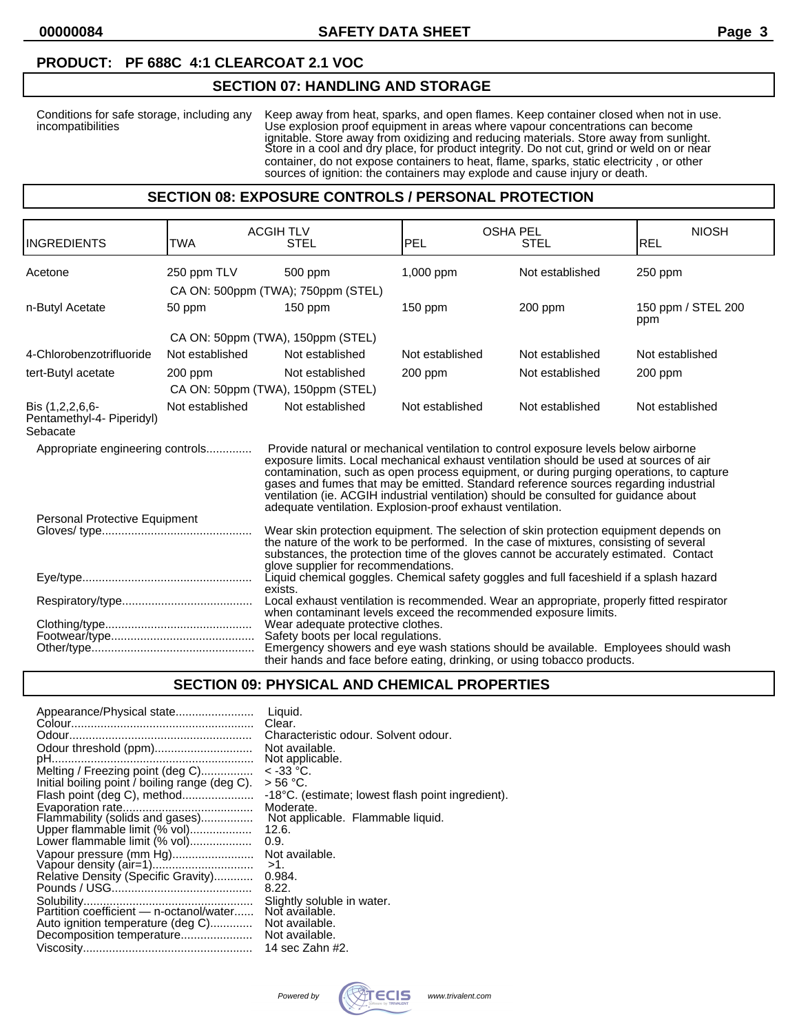## **PRODUCT: PF 688C 4:1 CLEARCOAT 2.1 VOC**

#### **SECTION 07: HANDLING AND STORAGE**

Conditions for safe storage, including any Keep away from heat, sparks, and open flames. Keep container closed when not in use. incompatibilities Use explosion proof equipment in areas where vapour concentrations can become ignitable. Store away from oxidizing and reducing materials. Store away from sunlight. Store in a cool and dry place, for product integrity. Do not cut, grind or weld on or near container, do not expose containers to heat, flame, sparks, static electricity , or other sources of ignition: the containers may explode and cause injury or death.

#### **SECTION 08: EXPOSURE CONTROLS / PERSONAL PROTECTION**

| <b>INGREDIENTS</b>                                                                                                                                                                                                                                                                                                                               | <b>TWA</b>      | <b>ACGIH TLV</b><br><b>STEL</b>                                                                                                                                                                                                                                                                                                                                                                                                                                                                                         | <b>OSHA PEL</b><br>PEL | <b>STEL</b>     | <b>NIOSH</b><br>REL       |
|--------------------------------------------------------------------------------------------------------------------------------------------------------------------------------------------------------------------------------------------------------------------------------------------------------------------------------------------------|-----------------|-------------------------------------------------------------------------------------------------------------------------------------------------------------------------------------------------------------------------------------------------------------------------------------------------------------------------------------------------------------------------------------------------------------------------------------------------------------------------------------------------------------------------|------------------------|-----------------|---------------------------|
| Acetone                                                                                                                                                                                                                                                                                                                                          | 250 ppm TLV     | 500 ppm                                                                                                                                                                                                                                                                                                                                                                                                                                                                                                                 | $1,000$ ppm            | Not established | $250$ ppm                 |
|                                                                                                                                                                                                                                                                                                                                                  |                 | CA ON: 500ppm (TWA); 750ppm (STEL)                                                                                                                                                                                                                                                                                                                                                                                                                                                                                      |                        |                 |                           |
| n-Butyl Acetate                                                                                                                                                                                                                                                                                                                                  | 50 ppm          | $150$ ppm                                                                                                                                                                                                                                                                                                                                                                                                                                                                                                               | $150$ ppm              | 200 ppm         | 150 ppm / STEL 200<br>ppm |
|                                                                                                                                                                                                                                                                                                                                                  |                 | CA ON: 50ppm (TWA), 150ppm (STEL)                                                                                                                                                                                                                                                                                                                                                                                                                                                                                       |                        |                 |                           |
| 4-Chlorobenzotrifluoride                                                                                                                                                                                                                                                                                                                         | Not established | Not established                                                                                                                                                                                                                                                                                                                                                                                                                                                                                                         | Not established        | Not established | Not established           |
| tert-Butyl acetate                                                                                                                                                                                                                                                                                                                               | 200 ppm         | Not established                                                                                                                                                                                                                                                                                                                                                                                                                                                                                                         | $200$ ppm              | Not established | 200 ppm                   |
|                                                                                                                                                                                                                                                                                                                                                  |                 | CA ON: 50ppm (TWA), 150ppm (STEL)                                                                                                                                                                                                                                                                                                                                                                                                                                                                                       |                        |                 |                           |
| Bis (1,2,2,6,6-<br>Pentamethyl-4- Piperidyl)<br>Sebacate                                                                                                                                                                                                                                                                                         | Not established | Not established                                                                                                                                                                                                                                                                                                                                                                                                                                                                                                         | Not established        | Not established | Not established           |
| Appropriate engineering controls                                                                                                                                                                                                                                                                                                                 |                 | Provide natural or mechanical ventilation to control exposure levels below airborne<br>exposure limits. Local mechanical exhaust ventilation should be used at sources of air<br>contamination, such as open process equipment, or during purging operations, to capture<br>gases and fumes that may be emitted. Standard reference sources regarding industrial<br>ventilation (ie. ACGIH industrial ventilation) should be consulted for guidance about<br>adequate ventilation. Explosion-proof exhaust ventilation. |                        |                 |                           |
| Personal Protective Equipment<br>Wear skin protection equipment. The selection of skin protection equipment depends on<br>the nature of the work to be performed. In the case of mixtures, consisting of several<br>substances, the protection time of the gloves cannot be accurately estimated. Contact<br>glove supplier for recommendations. |                 |                                                                                                                                                                                                                                                                                                                                                                                                                                                                                                                         |                        |                 |                           |
|                                                                                                                                                                                                                                                                                                                                                  |                 | Liquid chemical goggles. Chemical safety goggles and full faceshield if a splash hazard<br>exists.                                                                                                                                                                                                                                                                                                                                                                                                                      |                        |                 |                           |
|                                                                                                                                                                                                                                                                                                                                                  |                 | Local exhaust ventilation is recommended. Wear an appropriate, properly fitted respirator<br>when contaminant levels exceed the recommended exposure limits.                                                                                                                                                                                                                                                                                                                                                            |                        |                 |                           |
| Wear adequate protective clothes.<br>Safety boots per local regulations.                                                                                                                                                                                                                                                                         |                 |                                                                                                                                                                                                                                                                                                                                                                                                                                                                                                                         |                        |                 |                           |
| Emergency showers and eye wash stations should be available. Employees should wash<br>their hands and face before eating, drinking, or using tobacco products.                                                                                                                                                                                   |                 |                                                                                                                                                                                                                                                                                                                                                                                                                                                                                                                         |                        |                 |                           |

## **SECTION 09: PHYSICAL AND CHEMICAL PROPERTIES**

| Appearance/Physical state                      | Liquid.<br>Clear.                                 |
|------------------------------------------------|---------------------------------------------------|
|                                                | Characteristic odour. Solvent odour.              |
|                                                | Not available.                                    |
|                                                | Not applicable.                                   |
| Melting / Freezing point (deg C)               | $<$ -33 °C.                                       |
| Initial boiling point / boiling range (deg C). | > 56 °C.                                          |
| Flash point (deg C), method                    | -18°C. (estimate; lowest flash point ingredient). |
|                                                | Moderate.                                         |
| Flammability (solids and gases)                | Not applicable. Flammable liquid.                 |
| Upper flammable limit (% vol)                  | 12.6.                                             |
| Lower flammable limit (% vol)                  | 0.9.                                              |
| Vapour pressure (mm Hg)                        | Not available.                                    |
|                                                | $>1$ .                                            |
| Relative Density (Specific Gravity)            | 0.984.                                            |
|                                                | 8.22.                                             |
|                                                | Slightly soluble in water.                        |
| Partition coefficient - n-octanol/water        | Not available.                                    |
| Auto ignition temperature (deg C)              | Not available.                                    |
|                                                | Not available.                                    |
|                                                | 14 sec Zahn #2.                                   |

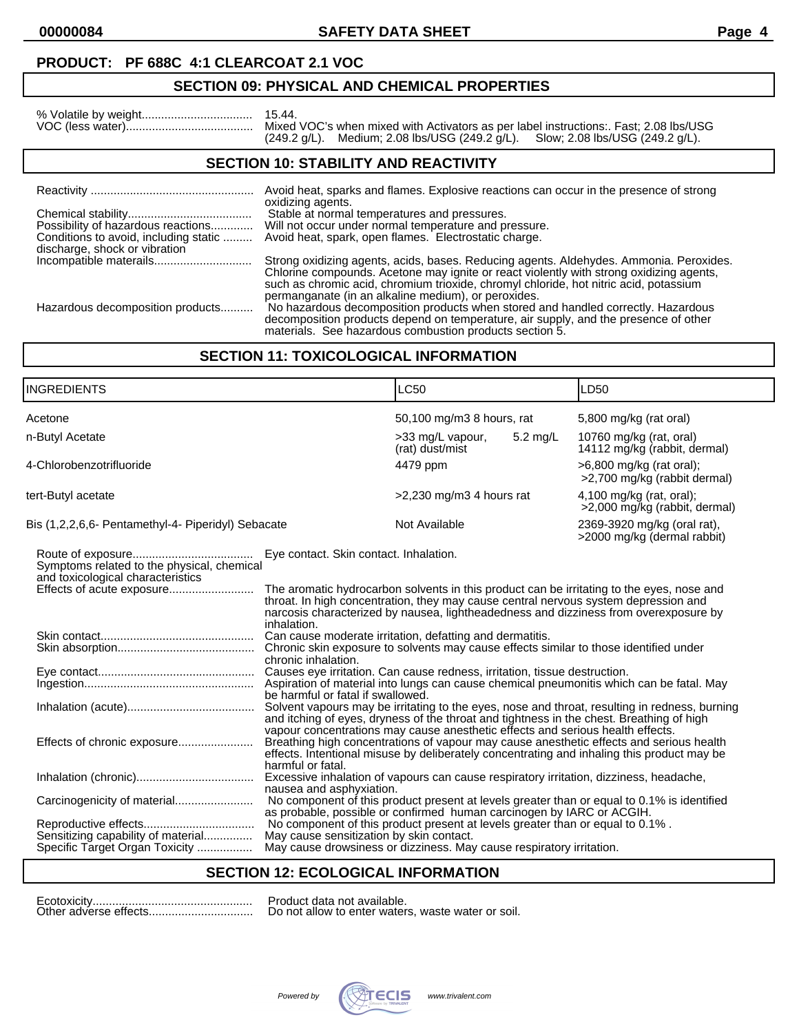**00000084 SAFETY DATA SHEET Page 4**

## **PRODUCT: PF 688C 4:1 CLEARCOAT 2.1 VOC**

## **SECTION 09: PHYSICAL AND CHEMICAL PROPERTIES**

|                                      | Mixed VOC's when mixed with Activators as per label instructions: Fast: 2.08 lbs/USG                            |  |
|--------------------------------------|-----------------------------------------------------------------------------------------------------------------|--|
|                                      | $(249.2 \text{ g/L})$ . Medium; 2.08 lbs/USG $(249.2 \text{ g/L})$ . Slow; 2.08 lbs/USG $(249.2 \text{ g/L})$ . |  |
| CECTION 40. CTADILITY AND DEACTIVITY |                                                                                                                 |  |

#### **SECTION 10: STABILITY AND REACTIVITY**

|                                                                     | Avoid heat, sparks and flames. Explosive reactions can occur in the presence of strong<br>oxidizing agents.                                                                                                                        |
|---------------------------------------------------------------------|------------------------------------------------------------------------------------------------------------------------------------------------------------------------------------------------------------------------------------|
| Possibility of hazardous reactions<br>discharge, shock or vibration | Stable at normal temperatures and pressures.<br>Will not occur under normal temperature and pressure.<br>Conditions to avoid, including static  Avoid heat, spark, open flames. Electrostatic charge.                              |
| Incompatible materails                                              | Strong oxidizing agents, acids, bases. Reducing agents. Aldehydes. Ammonia. Peroxides.<br>Chlorine compounds. Acetone may ignite or react violently with strong oxidizing agents,                                                  |
|                                                                     | such as chromic acid, chromium trioxide, chromyl chloride, hot nitric acid, potassium<br>permanganate (in an alkaline medium), or peroxides.                                                                                       |
| Hazardous decomposition products                                    | No hazardous decomposition products when stored and handled correctly. Hazardous<br>decomposition products depend on temperature, air supply, and the presence of other<br>materials. See hazardous combustion products section 5. |

## **SECTION 11: TOXICOLOGICAL INFORMATION**

| INGREDIENTS                                                                     |                                                                                                                                                                                                                                                                                              | <b>LC50</b>                         |            | LD50                                                       |  |
|---------------------------------------------------------------------------------|----------------------------------------------------------------------------------------------------------------------------------------------------------------------------------------------------------------------------------------------------------------------------------------------|-------------------------------------|------------|------------------------------------------------------------|--|
| Acetone                                                                         |                                                                                                                                                                                                                                                                                              | 50,100 mg/m3 8 hours, rat           |            | 5,800 mg/kg (rat oral)                                     |  |
| n-Butyl Acetate                                                                 |                                                                                                                                                                                                                                                                                              | >33 mg/L vapour,<br>(rat) dust/mist | $5.2$ mg/L | 10760 mg/kg (rat, oral)<br>14112 mg/kg (rabbit, dermal)    |  |
| 4-Chlorobenzotrifluoride                                                        |                                                                                                                                                                                                                                                                                              | 4479 ppm                            |            | $>6,800$ mg/kg (rat oral);<br>>2,700 mg/kg (rabbit dermal) |  |
| tert-Butyl acetate                                                              |                                                                                                                                                                                                                                                                                              | >2,230 mg/m3 4 hours rat            |            | 4,100 mg/kg (rat, oral);<br>>2,000 mg/kg (rabbit, dermal)  |  |
| Bis (1,2,2,6,6- Pentamethyl-4- Piperidyl) Sebacate                              |                                                                                                                                                                                                                                                                                              | Not Available                       |            | 2369-3920 mg/kg (oral rat),<br>>2000 mg/kg (dermal rabbit) |  |
| Symptoms related to the physical, chemical<br>and toxicological characteristics | Eye contact. Skin contact. Inhalation.                                                                                                                                                                                                                                                       |                                     |            |                                                            |  |
| Effects of acute exposure                                                       | The aromatic hydrocarbon solvents in this product can be irritating to the eyes, nose and<br>throat. In high concentration, they may cause central nervous system depression and<br>narcosis characterized by nausea, lightheadedness and dizziness from overexposure by<br>inhalation.      |                                     |            |                                                            |  |
|                                                                                 | Can cause moderate irritation, defatting and dermatitis.<br>Chronic skin exposure to solvents may cause effects similar to those identified under<br>chronic inhalation.                                                                                                                     |                                     |            |                                                            |  |
|                                                                                 | Causes eye irritation. Can cause redness, irritation, tissue destruction.<br>Aspiration of material into lungs can cause chemical pneumonitis which can be fatal. May<br>be harmful or fatal if swallowed.                                                                                   |                                     |            |                                                            |  |
|                                                                                 | Solvent vapours may be irritating to the eyes, nose and throat, resulting in redness, burning<br>and itching of eyes, dryness of the throat and tightness in the chest. Breathing of high                                                                                                    |                                     |            |                                                            |  |
| Effects of chronic exposure                                                     | vapour concentrations may cause anesthetic effects and serious health effects.<br>Breathing high concentrations of vapour may cause anesthetic effects and serious health<br>effects. Intentional misuse by deliberately concentrating and inhaling this product may be<br>harmful or fatal. |                                     |            |                                                            |  |
|                                                                                 | Excessive inhalation of vapours can cause respiratory irritation, dizziness, headache,                                                                                                                                                                                                       |                                     |            |                                                            |  |
| Carcinogenicity of material                                                     | nausea and asphyxiation.<br>No component of this product present at levels greater than or equal to 0.1% is identified<br>as probable, possible or confirmed human carcinogen by IARC or ACGIH.                                                                                              |                                     |            |                                                            |  |
| Sensitizing capability of material<br>Specific Target Organ Toxicity            | No component of this product present at levels greater than or equal to 0.1%.<br>May cause sensitization by skin contact.<br>May cause drowsiness or dizziness. May cause respiratory irritation.                                                                                            |                                     |            |                                                            |  |

## **SECTION 12: ECOLOGICAL INFORMATION**

Other adverse effects................................ Do not allow to enter waters, waste water or soil.